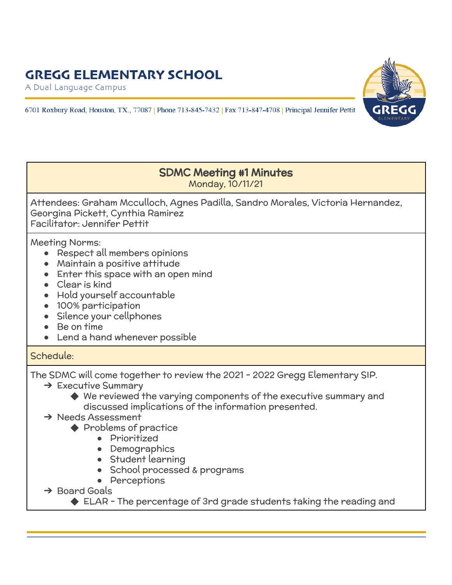## **GREGG ELEMENTARY SCHOOL**

A Dual Language Campus





#### SDMC Meeting #1 Minutes Monday, 10/11/21

Attendees: Graham Mcculloch, Agnes Padilla, Sandro Morales, Victoria Hernandez, Georgina Pickett, Cynthia Ramirez Facilitator: Jennifer Pettit

Meeting Norms:

- Respect all members opinions
- Maintain a positive attitude
- Enter this space with an open mind
- Clear is kind
- Hold yourself accountable
- 100% participation
- Silence your cellphones
- Be on time
- Lend a hand whenever possible

## Schedule:

The SDMC will come together to review the 2021 - 2022 Gregg Elementary SIP.

- **→ Executive Summary** 
	- ◆ We reviewed the varying components of the executive summary and discussed implications of the information presented.

### → Needs Assessment

- ◆ Problems of practice
	- Prioritized
	- Demographics
	- **Student learning**
	- School processed & programs
	- Perceptions
- ➔ Board Goals
	- ◆ ELAR The percentage of 3rd grade students taking the reading and